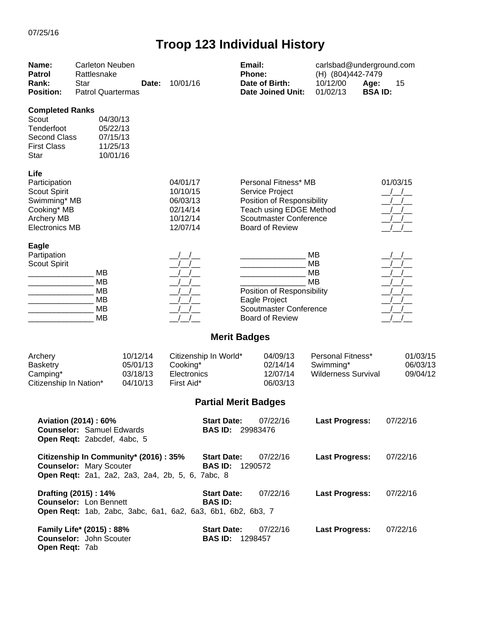| Name:<br><b>Patrol</b><br>Rank:<br><b>Position:</b>                                                                       | <b>Carleton Neuben</b><br>Rattlesnake<br><b>Star</b><br><b>Patrol Quartermas</b>         | Date:                                        | 10/01/16                                                                      | Email:<br><b>Phone:</b>                       | Date of Birth:<br><b>Date Joined Unit:</b>                                                                                                                  | carlsbad@underground.com<br>(H) (804)442-7479<br>10/12/00<br>Age:<br>01/02/13 | 15<br><b>BSAID:</b>              |
|---------------------------------------------------------------------------------------------------------------------------|------------------------------------------------------------------------------------------|----------------------------------------------|-------------------------------------------------------------------------------|-----------------------------------------------|-------------------------------------------------------------------------------------------------------------------------------------------------------------|-------------------------------------------------------------------------------|----------------------------------|
| <b>Completed Ranks</b><br>Scout<br>Tenderfoot<br><b>Second Class</b><br><b>First Class</b><br>Star                        | 04/30/13<br>05/22/13<br>07/15/13<br>11/25/13<br>10/01/16                                 |                                              |                                                                               |                                               |                                                                                                                                                             |                                                                               |                                  |
| Life<br>Participation<br><b>Scout Spirit</b><br>Swimming* MB<br>Cooking* MB<br><b>Archery MB</b><br><b>Electronics MB</b> |                                                                                          |                                              | 04/01/17<br>10/10/15<br>06/03/13<br>02/14/14<br>10/12/14<br>12/07/14          |                                               | Personal Fitness* MB<br>Service Project<br>Position of Responsibility<br>Teach using EDGE Method<br><b>Scoutmaster Conference</b><br><b>Board of Review</b> |                                                                               | 01/03/15                         |
| <b>Eagle</b><br>Partipation<br><b>Scout Spirit</b>                                                                        | <b>MB</b><br>MB<br><b>MB</b><br><b>MB</b><br><b>MB</b><br><b>MB</b>                      |                                              |                                                                               |                                               | Position of Responsibility<br>Eagle Project<br><b>Scoutmaster Conference</b><br><b>Board of Review</b>                                                      | MB<br>MB<br>MB<br>MB                                                          |                                  |
|                                                                                                                           |                                                                                          |                                              |                                                                               | <b>Merit Badges</b>                           |                                                                                                                                                             |                                                                               |                                  |
| Archery<br><b>Basketry</b><br>Camping*<br>Citizenship In Nation*                                                          |                                                                                          | 10/12/14<br>05/01/13<br>03/18/13<br>04/10/13 | Citizenship In World*<br>Cooking*<br>Electronics<br>First Aid*                |                                               | 04/09/13<br>02/14/14<br>12/07/14<br>06/03/13                                                                                                                | Personal Fitness*<br>Swimming*<br><b>Wilderness Survival</b>                  | 01/03/15<br>06/03/13<br>09/04/12 |
|                                                                                                                           |                                                                                          |                                              |                                                                               | <b>Partial Merit Badges</b>                   |                                                                                                                                                             |                                                                               |                                  |
|                                                                                                                           | Aviation (2014) : 60%<br><b>Counselor: Samuel Edwards</b><br>Open Reqt: 2abcdef, 4abc, 5 |                                              |                                                                               | <b>Start Date:</b><br><b>BAS ID: 29983476</b> | 07/22/16                                                                                                                                                    | <b>Last Progress:</b>                                                         | 07/22/16                         |
|                                                                                                                           | <b>Counselor: Mary Scouter</b>                                                           | Citizenship In Community* (2016): 35%        | Open Reqt: 2a1, 2a2, 2a3, 2a4, 2b, 5, 6, 7abc, 8                              | <b>Start Date:</b><br><b>BAS ID: 1290572</b>  | 07/22/16                                                                                                                                                    | <b>Last Progress:</b>                                                         | 07/22/16                         |
|                                                                                                                           | Drafting (2015): 14%<br><b>Counselor: Lon Bennett</b>                                    |                                              | <b>BAS ID:</b><br>Open Reqt: 1ab, 2abc, 3abc, 6a1, 6a2, 6a3, 6b1, 6b2, 6b3, 7 | <b>Start Date:</b>                            | 07/22/16                                                                                                                                                    | <b>Last Progress:</b>                                                         | 07/22/16                         |
| Open Reqt: 7ab                                                                                                            | Family Life* (2015): 88%<br><b>Counselor:</b> John Scouter                               |                                              |                                                                               | <b>Start Date:</b><br><b>BAS ID: 1298457</b>  | 07/22/16                                                                                                                                                    | <b>Last Progress:</b>                                                         | 07/22/16                         |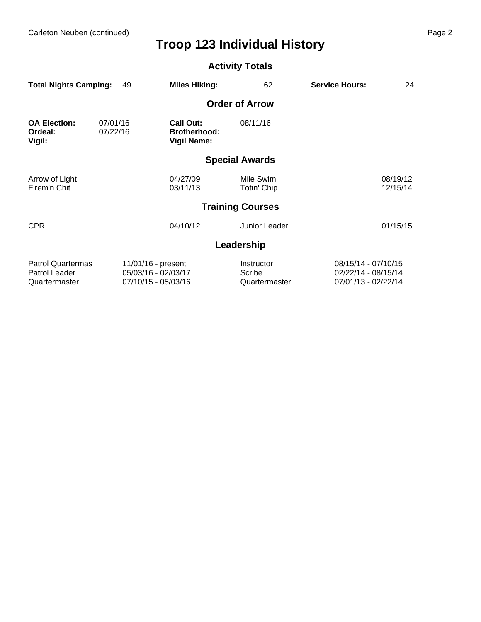Carleton Neuben (continued) Page 2

## **Troop 123 Individual History**

#### **Activity Totals**

| <b>Total Nights Camping:</b>                               | 49                   | <b>Miles Hiking:</b>                                             | 62                                    | <b>Service Hours:</b>                                             | 24                   |
|------------------------------------------------------------|----------------------|------------------------------------------------------------------|---------------------------------------|-------------------------------------------------------------------|----------------------|
|                                                            |                      |                                                                  | <b>Order of Arrow</b>                 |                                                                   |                      |
| <b>OA Election:</b><br>Ordeal:<br>Vigil:                   | 07/01/16<br>07/22/16 | <b>Call Out:</b><br><b>Brotherhood:</b><br><b>Vigil Name:</b>    | 08/11/16                              |                                                                   |                      |
|                                                            |                      |                                                                  | <b>Special Awards</b>                 |                                                                   |                      |
| Arrow of Light<br>Firem'n Chit                             |                      | 04/27/09<br>03/11/13                                             | Mile Swim<br>Totin' Chip              |                                                                   | 08/19/12<br>12/15/14 |
|                                                            |                      |                                                                  | <b>Training Courses</b>               |                                                                   |                      |
| <b>CPR</b>                                                 |                      | 04/10/12                                                         | Junior Leader                         |                                                                   | 01/15/15             |
|                                                            |                      |                                                                  | Leadership                            |                                                                   |                      |
| <b>Patrol Quartermas</b><br>Patrol Leader<br>Quartermaster |                      | 11/01/16 - present<br>05/03/16 - 02/03/17<br>07/10/15 - 05/03/16 | Instructor<br>Scribe<br>Quartermaster | 08/15/14 - 07/10/15<br>02/22/14 - 08/15/14<br>07/01/13 - 02/22/14 |                      |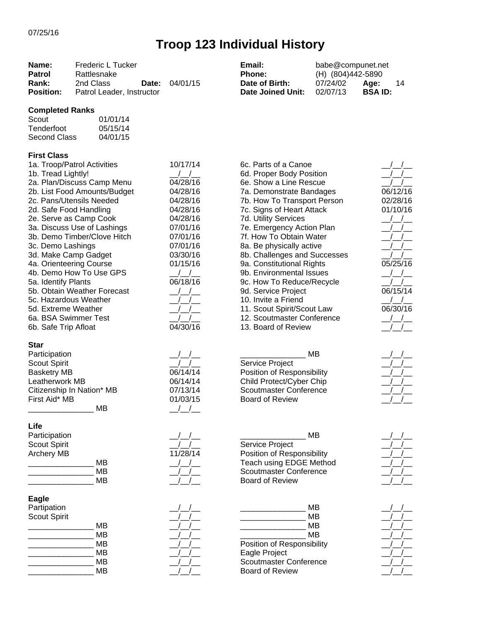| Name:<br><b>Patrol</b><br>Rank:<br><b>Position:</b>                                                                                                                                                                                                               | Frederic L Tucker<br>Rattlesnake<br>2nd Class<br>Date:<br>Patrol Leader, Instructor                                                                                                                                                                                     | 04/01/15                                                                                                                                                            | Email:<br>Phone:<br>Date of Birth:<br><b>Date Joined Unit:</b>                                                                                                                                                                                                                                                                                                                                                                                                                                                                        | babe@compunet.net<br>(H) (804)442-5890<br>07/24/02<br>02/07/13 | Age:<br>14<br><b>BSAID:</b>                                                           |
|-------------------------------------------------------------------------------------------------------------------------------------------------------------------------------------------------------------------------------------------------------------------|-------------------------------------------------------------------------------------------------------------------------------------------------------------------------------------------------------------------------------------------------------------------------|---------------------------------------------------------------------------------------------------------------------------------------------------------------------|---------------------------------------------------------------------------------------------------------------------------------------------------------------------------------------------------------------------------------------------------------------------------------------------------------------------------------------------------------------------------------------------------------------------------------------------------------------------------------------------------------------------------------------|----------------------------------------------------------------|---------------------------------------------------------------------------------------|
| <b>Completed Ranks</b><br>Scout<br>Tenderfoot<br><b>Second Class</b>                                                                                                                                                                                              | 01/01/14<br>05/15/14<br>04/01/15                                                                                                                                                                                                                                        |                                                                                                                                                                     |                                                                                                                                                                                                                                                                                                                                                                                                                                                                                                                                       |                                                                |                                                                                       |
| <b>First Class</b><br>1b. Tread Lightly!<br>2d. Safe Food Handling<br>3c. Demo Lashings<br>3d. Make Camp Gadget<br>4a. Orienteering Course<br>5a. Identify Plants<br>5c. Hazardous Weather<br>5d. Extreme Weather<br>6a. BSA Swimmer Test<br>6b. Safe Trip Afloat | 1a. Troop/Patrol Activities<br>2a. Plan/Discuss Camp Menu<br>2b. List Food Amounts/Budget<br>2c. Pans/Utensils Needed<br>2e. Serve as Camp Cook<br>3a. Discuss Use of Lashings<br>3b. Demo Timber/Clove Hitch<br>4b. Demo How To Use GPS<br>5b. Obtain Weather Forecast | 10/17/14<br>04/28/16<br>04/28/16<br>04/28/16<br>04/28/16<br>04/28/16<br>07/01/16<br>07/01/16<br>07/01/16<br>03/30/16<br>01/15/16<br>$/$ $/$<br>06/18/16<br>04/30/16 | 6c. Parts of a Canoe<br>6d. Proper Body Position<br>6e. Show a Line Rescue<br>7a. Demonstrate Bandages<br>7b. How To Transport Person<br>7c. Signs of Heart Attack<br>7d. Utility Services<br>7e. Emergency Action Plan<br>7f. How To Obtain Water<br>8a. Be physically active<br>8b. Challenges and Successes<br>9a. Constitutional Rights<br>9b. Environmental Issues<br>9c. How To Reduce/Recycle<br>9d. Service Project<br>10. Invite a Friend<br>11. Scout Spirit/Scout Law<br>12. Scoutmaster Conference<br>13. Board of Review |                                                                | 06/12/16<br>02/28/16<br>01/10/16<br>$\frac{1}{2}$<br>05/25/16<br>06/15/14<br>06/30/16 |
| <b>Star</b><br>Participation<br>Scout Spirit<br><b>Basketry MB</b><br>Leatherwork MB<br>First Aid* MB                                                                                                                                                             | Citizenship In Nation* MB<br>MB                                                                                                                                                                                                                                         | 06/14/14<br>06/14/14<br>07/13/14<br>01/03/15                                                                                                                        | Service Project<br>Position of Responsibility<br>Child Protect/Cyber Chip<br><b>Scoutmaster Conference</b><br><b>Board of Review</b>                                                                                                                                                                                                                                                                                                                                                                                                  | <b>MB</b>                                                      |                                                                                       |
| Life<br>Participation<br><b>Scout Spirit</b><br><b>Archery MB</b>                                                                                                                                                                                                 | <b>MB</b><br><b>MB</b><br>MВ                                                                                                                                                                                                                                            | 11/28/14                                                                                                                                                            | Service Project<br>Position of Responsibility<br><b>Teach using EDGE Method</b><br>Scoutmaster Conference<br><b>Board of Review</b>                                                                                                                                                                                                                                                                                                                                                                                                   | <b>MB</b>                                                      |                                                                                       |
| Eagle<br>Partipation<br><b>Scout Spirit</b>                                                                                                                                                                                                                       | MВ<br><b>MB</b><br><b>MB</b><br><b>MB</b><br>MВ<br>MВ                                                                                                                                                                                                                   |                                                                                                                                                                     | Position of Responsibility<br>Eagle Project<br><b>Scoutmaster Conference</b><br><b>Board of Review</b>                                                                                                                                                                                                                                                                                                                                                                                                                                | MВ<br><b>MB</b><br><b>MB</b><br><b>MB</b>                      |                                                                                       |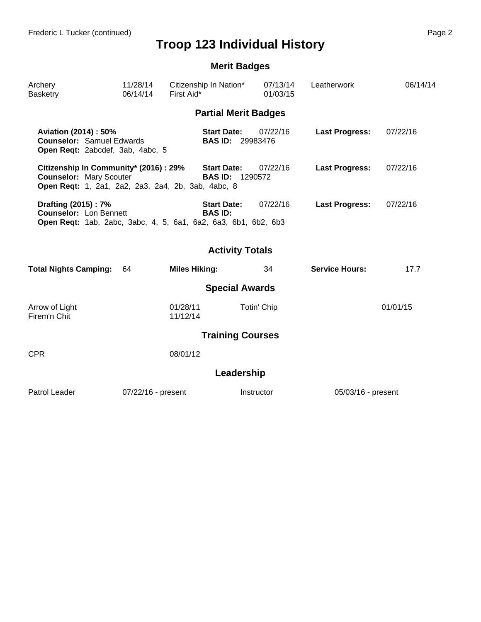|                                                                                                                               |                      |                                      | <b>Merit Badges</b>                 |                       |          |
|-------------------------------------------------------------------------------------------------------------------------------|----------------------|--------------------------------------|-------------------------------------|-----------------------|----------|
| Archery<br><b>Basketry</b>                                                                                                    | 11/28/14<br>06/14/14 | Citizenship In Nation*<br>First Aid* | 07/13/14<br>01/03/15                | Leatherwork           | 06/14/14 |
|                                                                                                                               |                      |                                      | <b>Partial Merit Badges</b>         |                       |          |
| Aviation (2014) : 50%<br><b>Counselor: Samuel Edwards</b><br>Open Reqt: 2abcdef, 3ab, 4abc, 5                                 |                      | <b>Start Date:</b>                   | 07/22/16<br><b>BAS ID: 29983476</b> | <b>Last Progress:</b> | 07/22/16 |
| Citizenship In Community* (2016): 29%<br><b>Counselor: Mary Scouter</b><br>Open Reqt: 1, 2a1, 2a2, 2a3, 2a4, 2b, 3ab, 4abc, 8 |                      | <b>Start Date:</b>                   | 07/22/16<br><b>BAS ID: 1290572</b>  | <b>Last Progress:</b> | 07/22/16 |
| Drafting (2015): 7%<br><b>Counselor:</b> Lon Bennett<br>Open Reqt: 1ab, 2abc, 3abc, 4, 5, 6a1, 6a2, 6a3, 6b1, 6b2, 6b3        |                      | <b>Start Date:</b><br><b>BAS ID:</b> | 07/22/16                            | <b>Last Progress:</b> | 07/22/16 |
|                                                                                                                               |                      |                                      | <b>Activity Totals</b>              |                       |          |
| <b>Total Nights Camping:</b>                                                                                                  | 64                   | <b>Miles Hiking:</b>                 | 34                                  | <b>Service Hours:</b> | 17.7     |
|                                                                                                                               |                      |                                      | <b>Special Awards</b>               |                       |          |
| Arrow of Light<br>Firem'n Chit                                                                                                |                      | 01/28/11<br>11/12/14                 | Totin' Chip                         |                       | 01/01/15 |
|                                                                                                                               |                      |                                      | <b>Training Courses</b>             |                       |          |
| <b>CPR</b>                                                                                                                    |                      | 08/01/12                             |                                     |                       |          |
|                                                                                                                               |                      |                                      | Leadership                          |                       |          |
| Patrol Leader                                                                                                                 | 07/22/16 - present   |                                      | Instructor                          | 05/03/16 - present    |          |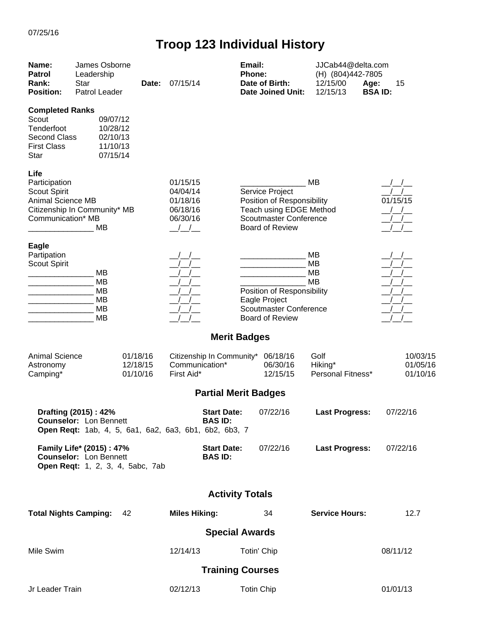| Name:<br><b>Patrol</b><br>Rank:<br><b>Position:</b>                                                       | James Osborne<br>Leadership<br>Star<br>Patrol Leader                                                           | Date:                            | 07/15/14                                                 |                                      | Email:<br>Phone:<br>Date of Birth: | <b>Date Joined Unit:</b>                                                                                                            | JJCab44@delta.com<br>(H) (804)442-7805<br>12/15/00<br>12/15/13 | Age:<br><b>BSAID:</b> | 15                                                             |
|-----------------------------------------------------------------------------------------------------------|----------------------------------------------------------------------------------------------------------------|----------------------------------|----------------------------------------------------------|--------------------------------------|------------------------------------|-------------------------------------------------------------------------------------------------------------------------------------|----------------------------------------------------------------|-----------------------|----------------------------------------------------------------|
| <b>Completed Ranks</b><br>Scout<br>Tenderfoot<br><b>Second Class</b><br><b>First Class</b><br><b>Star</b> | 09/07/12<br>10/28/12<br>02/10/13<br>11/10/13<br>07/15/14                                                       |                                  |                                                          |                                      |                                    |                                                                                                                                     |                                                                |                       |                                                                |
| Life<br>Participation<br>Scout Spirit<br><b>Animal Science MB</b><br>Communication* MB                    | Citizenship In Community* MB<br>МB                                                                             |                                  | 01/15/15<br>04/04/14<br>01/18/16<br>06/18/16<br>06/30/16 |                                      |                                    | Service Project<br>Position of Responsibility<br>Teach using EDGE Method<br><b>Scoutmaster Conference</b><br><b>Board of Review</b> | <b>MB</b>                                                      |                       | 01/15/15                                                       |
| Eagle<br>Partipation<br>Scout Spirit                                                                      | MВ<br>MB<br><b>MB</b><br><b>MB</b><br><b>MB</b><br><b>MB</b>                                                   |                                  |                                                          |                                      | Eagle Project                      | Position of Responsibility<br><b>Scoutmaster Conference</b><br><b>Board of Review</b>                                               | MB<br><b>MB</b><br><b>MB</b><br>МB                             |                       | $\frac{1}{2}$<br>$\left  \begin{array}{c} \end{array} \right $ |
|                                                                                                           |                                                                                                                |                                  |                                                          | <b>Merit Badges</b>                  |                                    |                                                                                                                                     |                                                                |                       |                                                                |
| <b>Animal Science</b><br>Astronomy<br>Camping*                                                            |                                                                                                                | 01/18/16<br>12/18/15<br>01/10/16 | Communication*<br>First Aid*                             | Citizenship In Community* 06/18/16   |                                    | 06/30/16<br>12/15/15                                                                                                                | Golf<br>Hiking*<br>Personal Fitness*                           |                       | 10/03/15<br>01/05/16<br>01/10/16                               |
|                                                                                                           |                                                                                                                |                                  |                                                          | <b>Partial Merit Badges</b>          |                                    |                                                                                                                                     |                                                                |                       |                                                                |
|                                                                                                           | Drafting (2015): 42%<br><b>Counselor: Lon Bennett</b><br>Open Reqt: 1ab, 4, 5, 6a1, 6a2, 6a3, 6b1, 6b2, 6b3, 7 |                                  |                                                          | <b>Start Date:</b><br><b>BAS ID:</b> |                                    | 07/22/16                                                                                                                            | <b>Last Progress:</b>                                          |                       | 07/22/16                                                       |
|                                                                                                           | Family Life* (2015): 47%<br><b>Counselor:</b> Lon Bennett<br>Open Reqt: 1, 2, 3, 4, 5abc, 7ab                  |                                  |                                                          | <b>Start Date:</b><br><b>BAS ID:</b> |                                    | 07/22/16                                                                                                                            | <b>Last Progress:</b>                                          |                       | 07/22/16                                                       |
|                                                                                                           |                                                                                                                |                                  |                                                          | <b>Activity Totals</b>               |                                    |                                                                                                                                     |                                                                |                       |                                                                |
| <b>Total Nights Camping:</b>                                                                              |                                                                                                                | 42                               | <b>Miles Hiking:</b>                                     |                                      |                                    | 34                                                                                                                                  | <b>Service Hours:</b>                                          |                       | 12.7                                                           |
|                                                                                                           |                                                                                                                |                                  |                                                          | <b>Special Awards</b>                |                                    |                                                                                                                                     |                                                                |                       |                                                                |
| Mile Swim                                                                                                 |                                                                                                                |                                  | 12/14/13                                                 |                                      | Totin' Chip                        |                                                                                                                                     |                                                                |                       | 08/11/12                                                       |
|                                                                                                           |                                                                                                                |                                  |                                                          | <b>Training Courses</b>              |                                    |                                                                                                                                     |                                                                |                       |                                                                |
| Jr Leader Train                                                                                           |                                                                                                                |                                  | 02/12/13                                                 |                                      | <b>Totin Chip</b>                  |                                                                                                                                     |                                                                |                       | 01/01/13                                                       |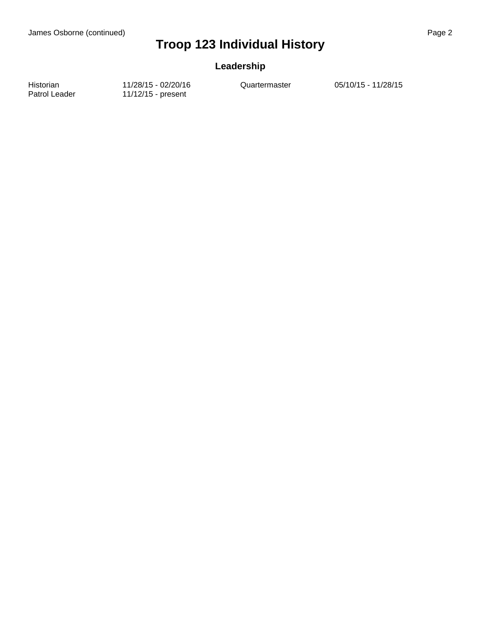#### **Leadership**

Historian 11/28/15 - 02/20/16 Quartermaster 05/10/15 - 11/28/15<br>Patrol Leader 11/12/15 - present 11/12/15 - present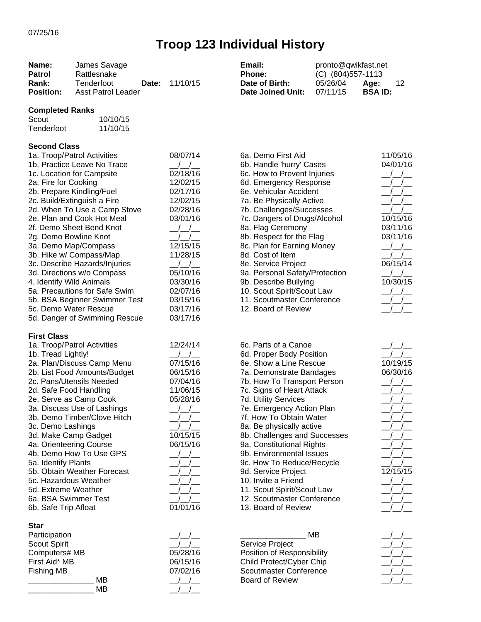| Name:<br><b>Patrol</b><br>Rank:<br><b>Position:</b> | James Savage<br>Rattlesnake<br>Tenderfoot<br>Date:<br><b>Asst Patrol Leader</b> | 11/10/15             | Email:<br>Phone:<br>Date of Birth:<br><b>Date Joined Unit:</b> | pronto@qwikfast.net<br>(C) (804) 557-1113<br>05/26/04<br>07/11/15 | Age:<br>12<br><b>BSAID:</b> |
|-----------------------------------------------------|---------------------------------------------------------------------------------|----------------------|----------------------------------------------------------------|-------------------------------------------------------------------|-----------------------------|
| <b>Completed Ranks</b>                              |                                                                                 |                      |                                                                |                                                                   |                             |
| Scout<br>Tenderfoot                                 | 10/10/15<br>11/10/15                                                            |                      |                                                                |                                                                   |                             |
| <b>Second Class</b>                                 |                                                                                 |                      |                                                                |                                                                   |                             |
|                                                     | 1a. Troop/Patrol Activities                                                     | 08/07/14             | 6a. Demo First Aid                                             |                                                                   | 11/05/16                    |
|                                                     | 1b. Practice Leave No Trace                                                     |                      | 6b. Handle 'hurry' Cases                                       |                                                                   | 04/01/16                    |
|                                                     | 1c. Location for Campsite                                                       | 02/18/16             | 6c. How to Prevent Injuries                                    |                                                                   |                             |
| 2a. Fire for Cooking                                |                                                                                 | 12/02/15             | 6d. Emergency Response<br>6e. Vehicular Accident               |                                                                   |                             |
|                                                     | 2b. Prepare Kindling/Fuel<br>2c. Build/Extinguish a Fire                        | 02/17/16<br>12/02/15 | 7a. Be Physically Active                                       |                                                                   |                             |
|                                                     | 2d. When To Use a Camp Stove                                                    | 02/28/16             | 7b. Challenges/Successes                                       |                                                                   |                             |
|                                                     | 2e. Plan and Cook Hot Meal                                                      | 03/01/16             | 7c. Dangers of Drugs/Alcohol                                   |                                                                   | 10/15/16                    |
|                                                     | 2f. Demo Sheet Bend Knot                                                        |                      | 8a. Flag Ceremony                                              |                                                                   | 03/11/16                    |
| 2g. Demo Bowline Knot                               |                                                                                 |                      | 8b. Respect for the Flag                                       |                                                                   | 03/11/16                    |
|                                                     | 3a. Demo Map/Compass                                                            | 12/15/15             | 8c. Plan for Earning Money                                     |                                                                   |                             |
|                                                     | 3b. Hike w/ Compass/Map                                                         | 11/28/15             | 8d. Cost of Item                                               |                                                                   |                             |
|                                                     | 3c. Describe Hazards/Injuries                                                   |                      | 8e. Service Project                                            |                                                                   | 06/15/14                    |
|                                                     | 3d. Directions w/o Compass                                                      | 05/10/16             | 9a. Personal Safety/Protection                                 |                                                                   |                             |
| 4. Identify Wild Animals                            |                                                                                 | 03/30/16             | 9b. Describe Bullying                                          |                                                                   | 10/30/15                    |
|                                                     | 5a. Precautions for Safe Swim                                                   | 02/07/16             | 10. Scout Spirit/Scout Law                                     |                                                                   |                             |
|                                                     | 5b. BSA Beginner Swimmer Test                                                   | 03/15/16             | 11. Scoutmaster Conference                                     |                                                                   |                             |
|                                                     | 5c. Demo Water Rescue                                                           | 03/17/16             | 12. Board of Review                                            |                                                                   |                             |
|                                                     | 5d. Danger of Swimming Rescue                                                   | 03/17/16             |                                                                |                                                                   |                             |
| <b>First Class</b>                                  |                                                                                 |                      |                                                                |                                                                   |                             |
|                                                     | 1a. Troop/Patrol Activities                                                     | 12/24/14             | 6c. Parts of a Canoe                                           |                                                                   |                             |
| 1b. Tread Lightly!                                  | 2a. Plan/Discuss Camp Menu                                                      | 07/15/16             | 6d. Proper Body Position<br>6e. Show a Line Rescue             |                                                                   | 10/19/15                    |
|                                                     | 2b. List Food Amounts/Budget                                                    | 06/15/16             | 7a. Demonstrate Bandages                                       |                                                                   | 06/30/16                    |
|                                                     | 2c. Pans/Utensils Needed                                                        | 07/04/16             | 7b. How To Transport Person                                    |                                                                   |                             |
| 2d. Safe Food Handling                              |                                                                                 | 11/06/15             | 7c. Signs of Heart Attack                                      |                                                                   |                             |
|                                                     | 2e. Serve as Camp Cook                                                          | 05/28/16             | 7d. Utility Services                                           |                                                                   |                             |
|                                                     | 3a. Discuss Use of Lashings                                                     |                      | 7e. Emergency Action Plan                                      |                                                                   |                             |
|                                                     | 3b. Demo Timber/Clove Hitch                                                     |                      | 7f. How To Obtain Water                                        |                                                                   |                             |
| 3c. Demo Lashings                                   |                                                                                 |                      | 8a. Be physically active                                       |                                                                   |                             |
| 3d. Make Camp Gadget                                |                                                                                 | 10/15/15             | 8b. Challenges and Successes                                   |                                                                   |                             |
| 4a. Orienteering Course                             |                                                                                 | 06/15/16             | 9a. Constitutional Rights                                      |                                                                   |                             |
|                                                     | 4b. Demo How To Use GPS                                                         |                      | 9b. Environmental Issues                                       |                                                                   |                             |
| 5a. Identify Plants                                 |                                                                                 |                      | 9c. How To Reduce/Recycle                                      |                                                                   |                             |
|                                                     | 5b. Obtain Weather Forecast                                                     |                      | 9d. Service Project                                            |                                                                   | 12/15/15                    |
| 5c. Hazardous Weather                               |                                                                                 |                      | 10. Invite a Friend                                            |                                                                   |                             |
| 5d. Extreme Weather                                 |                                                                                 |                      | 11. Scout Spirit/Scout Law                                     |                                                                   |                             |
| 6a. BSA Swimmer Test<br>6b. Safe Trip Afloat        |                                                                                 | 01/01/16             | 12. Scoutmaster Conference<br>13. Board of Review              |                                                                   |                             |
| <b>Star</b>                                         |                                                                                 |                      |                                                                |                                                                   |                             |
| Participation                                       |                                                                                 |                      |                                                                | МB                                                                |                             |
| <b>Scout Spirit</b>                                 |                                                                                 |                      | Service Project                                                |                                                                   |                             |
| Computers# MB                                       |                                                                                 | 05/28/16             | Position of Responsibility                                     |                                                                   |                             |
| First Aid* MB                                       |                                                                                 | 06/15/16             | Child Protect/Cyber Chip                                       |                                                                   |                             |
| <b>Fishing MB</b>                                   |                                                                                 | 07/02/16             | Scoutmaster Conference                                         |                                                                   |                             |

/ / Board of Review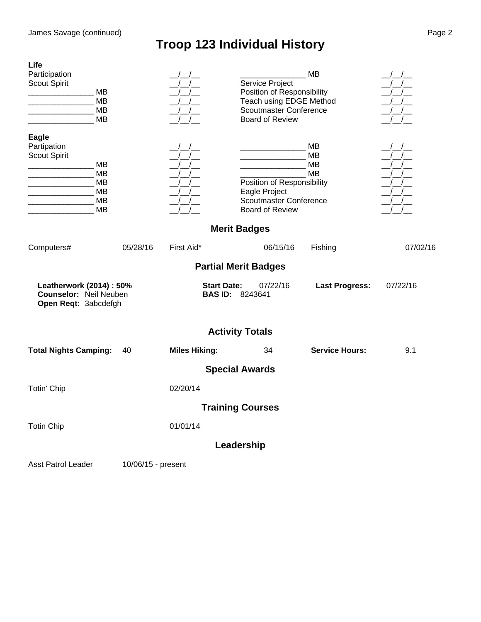| Life<br>Participation<br>Scout Spirit<br>MВ<br>MB<br>MB<br><b>MB</b>                                                 |                    |                                                                                                                                                        | Service Project<br>Position of Responsibility<br>Teach using EDGE Method<br>Scoutmaster Conference<br><b>Board of Review</b>                                | MB                          | $\left  \begin{array}{c} \end{array} \right $<br>$\left  \begin{array}{c} \end{array} \right $<br>$\left  \begin{array}{c} \end{array} \right $                                                                                                                                                                                                                                                                                                                                                                                                                                           |
|----------------------------------------------------------------------------------------------------------------------|--------------------|--------------------------------------------------------------------------------------------------------------------------------------------------------|-------------------------------------------------------------------------------------------------------------------------------------------------------------|-----------------------------|-------------------------------------------------------------------------------------------------------------------------------------------------------------------------------------------------------------------------------------------------------------------------------------------------------------------------------------------------------------------------------------------------------------------------------------------------------------------------------------------------------------------------------------------------------------------------------------------|
| Eagle<br>Partipation<br>Scout Spirit<br>MВ<br>MB<br>MB<br>MВ<br>the control of the control of the<br>MB<br><b>MB</b> |                    | $-\frac{1}{\sqrt{2}}$<br>$\frac{1}{2}$<br>$\sqrt{2}$<br>$\left  \begin{array}{c} \end{array} \right $<br>$\left  \begin{array}{c} \end{array} \right $ | <u> 1980 - Johann Barnett, fransk politiker (</u><br>Position of Responsibility<br>Eagle Project<br><b>Scoutmaster Conference</b><br><b>Board of Review</b> | MB<br>MB<br>MB<br><b>MB</b> | $\frac{1}{\sqrt{1-\frac{1}{\sqrt{1-\frac{1}{\sqrt{1-\frac{1}{\sqrt{1-\frac{1}{\sqrt{1-\frac{1}{\sqrt{1-\frac{1}{\sqrt{1-\frac{1}{\sqrt{1-\frac{1}{\sqrt{1-\frac{1}{\sqrt{1-\frac{1}{\sqrt{1-\frac{1}{\sqrt{1-\frac{1}{\sqrt{1-\frac{1}{\sqrt{1-\frac{1}{\sqrt{1-\frac{1}{\sqrt{1-\frac{1}{\sqrt{1-\frac{1}{\sqrt{1-\frac{1}{\sqrt{1-\frac{1}{\sqrt{1-\frac{1}{\sqrt{1-\frac{1}{\sqrt{1-\frac{1}{\sqrt{1-\frac{1}{\sqrt{1-\frac{1$<br>$\left  \right $<br>$\left  \begin{array}{c} \end{array} \right $<br>$\frac{1}{2}$<br>$\frac{1}{2}$<br>$\left  \begin{array}{c} \end{array} \right $ |
|                                                                                                                      |                    |                                                                                                                                                        | <b>Merit Badges</b>                                                                                                                                         |                             |                                                                                                                                                                                                                                                                                                                                                                                                                                                                                                                                                                                           |
| Computers#                                                                                                           | 05/28/16           | First Aid*                                                                                                                                             | 06/15/16                                                                                                                                                    | Fishing                     | 07/02/16                                                                                                                                                                                                                                                                                                                                                                                                                                                                                                                                                                                  |
|                                                                                                                      |                    |                                                                                                                                                        | <b>Partial Merit Badges</b>                                                                                                                                 |                             |                                                                                                                                                                                                                                                                                                                                                                                                                                                                                                                                                                                           |
| Leatherwork (2014) : 50%<br><b>Counselor: Neil Neuben</b><br>Open Reqt: 3abcdefgh                                    |                    | <b>BAS ID:</b>                                                                                                                                         | <b>Start Date:</b><br>07/22/16<br>8243641                                                                                                                   | <b>Last Progress:</b>       | 07/22/16                                                                                                                                                                                                                                                                                                                                                                                                                                                                                                                                                                                  |
|                                                                                                                      |                    |                                                                                                                                                        | <b>Activity Totals</b>                                                                                                                                      |                             |                                                                                                                                                                                                                                                                                                                                                                                                                                                                                                                                                                                           |
| <b>Total Nights Camping:</b>                                                                                         | 40                 | <b>Miles Hiking:</b>                                                                                                                                   | 34                                                                                                                                                          | <b>Service Hours:</b>       | 9.1                                                                                                                                                                                                                                                                                                                                                                                                                                                                                                                                                                                       |
|                                                                                                                      |                    |                                                                                                                                                        | <b>Special Awards</b>                                                                                                                                       |                             |                                                                                                                                                                                                                                                                                                                                                                                                                                                                                                                                                                                           |
| Totin' Chip                                                                                                          |                    | 02/20/14                                                                                                                                               |                                                                                                                                                             |                             |                                                                                                                                                                                                                                                                                                                                                                                                                                                                                                                                                                                           |
|                                                                                                                      |                    |                                                                                                                                                        | <b>Training Courses</b>                                                                                                                                     |                             |                                                                                                                                                                                                                                                                                                                                                                                                                                                                                                                                                                                           |
| <b>Totin Chip</b>                                                                                                    |                    | 01/01/14                                                                                                                                               |                                                                                                                                                             |                             |                                                                                                                                                                                                                                                                                                                                                                                                                                                                                                                                                                                           |
|                                                                                                                      |                    |                                                                                                                                                        | Leadership                                                                                                                                                  |                             |                                                                                                                                                                                                                                                                                                                                                                                                                                                                                                                                                                                           |
| Asst Patrol Leader                                                                                                   | 10/06/15 - present |                                                                                                                                                        |                                                                                                                                                             |                             |                                                                                                                                                                                                                                                                                                                                                                                                                                                                                                                                                                                           |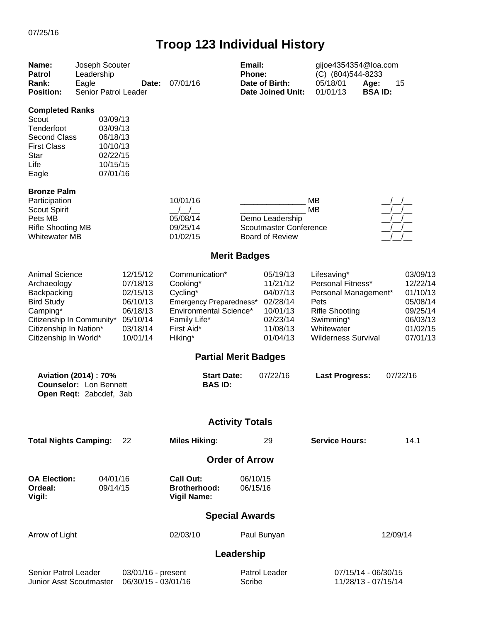| Name:<br><b>Patrol</b><br>Rank:<br><b>Position:</b>                                                                                                                  | Joseph Scouter<br>Leadership<br>Eagle<br>Senior Patrol Leader                           | Date:                                                                                        | 07/01/16                                                                                                                             | Email:<br>Phone:     | Date of Birth:<br><b>Date Joined Unit:</b>                                                   | gijoe4354354@loa.com<br>(C) (804) 544-8233<br>05/18/01<br>01/01/13                                                                                 | Age:<br><b>BSAID:</b>                      | 15                                                                                           |
|----------------------------------------------------------------------------------------------------------------------------------------------------------------------|-----------------------------------------------------------------------------------------|----------------------------------------------------------------------------------------------|--------------------------------------------------------------------------------------------------------------------------------------|----------------------|----------------------------------------------------------------------------------------------|----------------------------------------------------------------------------------------------------------------------------------------------------|--------------------------------------------|----------------------------------------------------------------------------------------------|
| <b>Completed Ranks</b><br>Scout<br>Tenderfoot<br><b>Second Class</b><br><b>First Class</b><br>Star<br>Life<br>Eagle                                                  | 03/09/13<br>03/09/13<br>06/18/13<br>10/10/13<br>02/22/15<br>10/15/15<br>07/01/16        |                                                                                              |                                                                                                                                      |                      |                                                                                              |                                                                                                                                                    |                                            |                                                                                              |
| <b>Bronze Palm</b><br>Participation<br>Scout Spirit<br>Pets MB<br><b>Rifle Shooting MB</b><br><b>Whitewater MB</b>                                                   |                                                                                         |                                                                                              | 10/01/16<br>05/08/14<br>09/25/14<br>01/02/15                                                                                         |                      | Demo Leadership<br><b>Scoutmaster Conference</b><br><b>Board of Review</b>                   | MB<br><b>MB</b>                                                                                                                                    |                                            |                                                                                              |
|                                                                                                                                                                      |                                                                                         |                                                                                              | <b>Merit Badges</b>                                                                                                                  |                      |                                                                                              |                                                                                                                                                    |                                            |                                                                                              |
| <b>Animal Science</b><br>Archaeology<br>Backpacking<br><b>Bird Study</b><br>Camping*<br>Citizenship In Community*<br>Citizenship In Nation*<br>Citizenship In World* |                                                                                         | 12/15/12<br>07/18/13<br>02/15/13<br>06/10/13<br>06/18/13<br>05/10/14<br>03/18/14<br>10/01/14 | Communication*<br>Cooking*<br>Cycling*<br>Emergency Preparedness*<br>Environmental Science*<br>Family Life*<br>First Aid*<br>Hiking* |                      | 05/19/13<br>11/21/12<br>04/07/13<br>02/28/14<br>10/01/13<br>02/23/14<br>11/08/13<br>01/04/13 | Lifesaving*<br>Personal Fitness*<br>Personal Management*<br>Pets<br><b>Rifle Shooting</b><br>Swimming*<br>Whitewater<br><b>Wilderness Survival</b> |                                            | 03/09/13<br>12/22/14<br>01/10/13<br>05/08/14<br>09/25/14<br>06/03/13<br>01/02/15<br>07/01/13 |
|                                                                                                                                                                      |                                                                                         |                                                                                              | <b>Partial Merit Badges</b>                                                                                                          |                      |                                                                                              |                                                                                                                                                    |                                            |                                                                                              |
|                                                                                                                                                                      | <b>Aviation (2014): 70%</b><br><b>Counselor: Lon Bennett</b><br>Open Reqt: 2abcdef, 3ab |                                                                                              | <b>Start Date:</b><br><b>BAS ID:</b>                                                                                                 |                      | 07/22/16                                                                                     | <b>Last Progress:</b>                                                                                                                              |                                            | 07/22/16                                                                                     |
|                                                                                                                                                                      |                                                                                         |                                                                                              | <b>Activity Totals</b>                                                                                                               |                      |                                                                                              |                                                                                                                                                    |                                            |                                                                                              |
| <b>Total Nights Camping:</b>                                                                                                                                         |                                                                                         | 22                                                                                           | <b>Miles Hiking:</b>                                                                                                                 |                      | 29                                                                                           | <b>Service Hours:</b>                                                                                                                              |                                            | 14.1                                                                                         |
|                                                                                                                                                                      |                                                                                         |                                                                                              | <b>Order of Arrow</b>                                                                                                                |                      |                                                                                              |                                                                                                                                                    |                                            |                                                                                              |
| <b>OA Election:</b><br>Ordeal:<br>Vigil:                                                                                                                             | 04/01/16<br>09/14/15                                                                    |                                                                                              | <b>Call Out:</b><br><b>Brotherhood:</b><br><b>Vigil Name:</b>                                                                        | 06/10/15<br>06/15/16 |                                                                                              |                                                                                                                                                    |                                            |                                                                                              |
|                                                                                                                                                                      |                                                                                         |                                                                                              | <b>Special Awards</b>                                                                                                                |                      |                                                                                              |                                                                                                                                                    |                                            |                                                                                              |
| Arrow of Light                                                                                                                                                       |                                                                                         |                                                                                              | 02/03/10                                                                                                                             |                      | Paul Bunyan                                                                                  |                                                                                                                                                    | 12/09/14                                   |                                                                                              |
|                                                                                                                                                                      |                                                                                         |                                                                                              |                                                                                                                                      | Leadership           |                                                                                              |                                                                                                                                                    |                                            |                                                                                              |
| Senior Patrol Leader<br>Junior Asst Scoutmaster                                                                                                                      |                                                                                         | 03/01/16 - present<br>06/30/15 - 03/01/16                                                    |                                                                                                                                      | Scribe               | Patrol Leader                                                                                |                                                                                                                                                    | 07/15/14 - 06/30/15<br>11/28/13 - 07/15/14 |                                                                                              |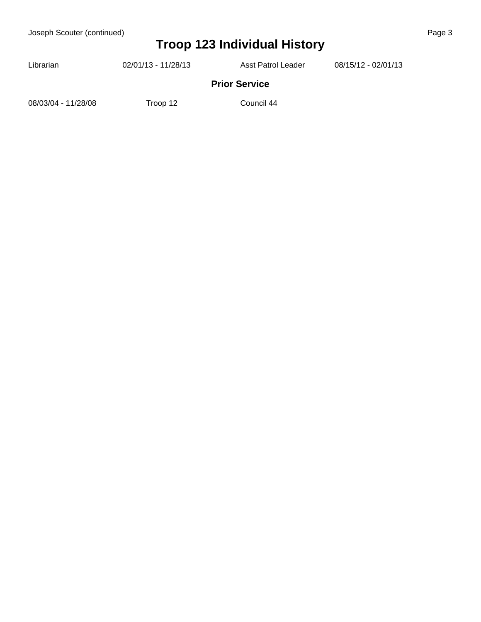| Librarian           | 02/01/13 - 11/28/13 | Asst Patrol Leader   | 08/15/12 - 02/01/13 |  |
|---------------------|---------------------|----------------------|---------------------|--|
|                     |                     | <b>Prior Service</b> |                     |  |
| 08/03/04 - 11/28/08 | Troop 12            | Council 44           |                     |  |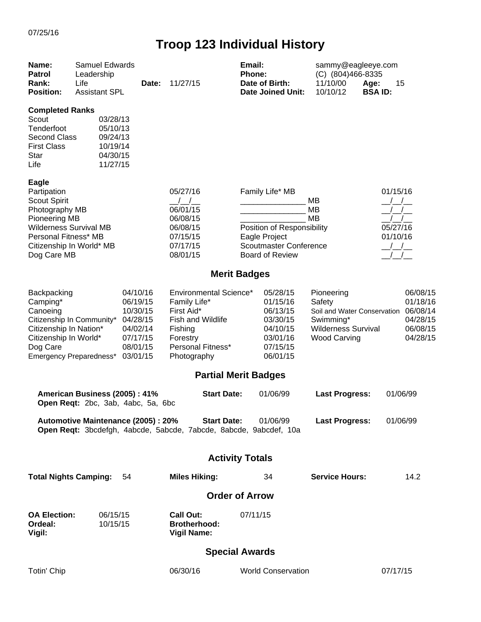| Name:<br><b>Patrol</b><br>Rank:<br><b>Position:</b>                                                                                                                                       | <b>Samuel Edwards</b><br>Leadership<br>Life<br><b>Assistant SPL</b>  | Date:                                                                                        | 11/27/15                                                                                                                                    | Email:<br>Phone:<br>Date of Birth:<br><b>Date Joined Unit:</b>                                                                   | sammy@eagleeye.com<br>(C) (804)466-8335<br>11/10/00<br>Age:<br>10/10/12                                               | 15<br><b>BSAID:</b>                                                  |
|-------------------------------------------------------------------------------------------------------------------------------------------------------------------------------------------|----------------------------------------------------------------------|----------------------------------------------------------------------------------------------|---------------------------------------------------------------------------------------------------------------------------------------------|----------------------------------------------------------------------------------------------------------------------------------|-----------------------------------------------------------------------------------------------------------------------|----------------------------------------------------------------------|
| <b>Completed Ranks</b><br>Scout<br>Tenderfoot<br><b>Second Class</b><br><b>First Class</b><br><b>Star</b><br>Life                                                                         | 03/28/13<br>05/10/13<br>09/24/13<br>10/19/14<br>04/30/15<br>11/27/15 |                                                                                              |                                                                                                                                             |                                                                                                                                  |                                                                                                                       |                                                                      |
| <b>Eagle</b><br>Partipation<br><b>Scout Spirit</b><br>Photography MB<br>Pioneering MB<br><b>Wilderness Survival MB</b><br>Personal Fitness* MB<br>Citizenship In World* MB<br>Dog Care MB |                                                                      |                                                                                              | 05/27/16<br>$\left  \begin{array}{c} \end{array} \right $<br>06/01/15<br>06/08/15<br>06/08/15<br>07/15/15<br>07/17/15<br>08/01/15           | Family Life* MB<br>Position of Responsibility<br><b>Eagle Project</b><br><b>Scoutmaster Conference</b><br><b>Board of Review</b> | MВ<br>MB<br><b>MB</b>                                                                                                 | 01/15/16<br>05/27/16<br>01/10/16<br>$\frac{\Delta}{\Delta}$          |
|                                                                                                                                                                                           |                                                                      |                                                                                              |                                                                                                                                             | <b>Merit Badges</b>                                                                                                              |                                                                                                                       |                                                                      |
| Backpacking<br>Camping*<br>Canoeing<br>Citizenship In Community*<br>Citizenship In Nation*<br>Citizenship In World*<br>Dog Care                                                           | Emergency Preparedness*                                              | 04/10/16<br>06/19/15<br>10/30/15<br>04/28/15<br>04/02/14<br>07/17/15<br>08/01/15<br>03/01/15 | <b>Environmental Science*</b><br>Family Life*<br>First Aid*<br>Fish and Wildlife<br>Fishing<br>Forestry<br>Personal Fitness*<br>Photography | 05/28/15<br>01/15/16<br>06/13/15<br>03/30/15<br>04/10/15<br>03/01/16<br>07/15/15<br>06/01/15<br><b>Partial Merit Badges</b>      | Pioneering<br>Safety<br>Soil and Water Conservation<br>Swimming*<br><b>Wilderness Survival</b><br><b>Wood Carving</b> | 06/08/15<br>01/18/16<br>06/08/14<br>04/28/15<br>06/08/15<br>04/28/15 |
|                                                                                                                                                                                           | American Business (2005): 41%<br>Open Reqt: 2bc, 3ab, 4abc, 5a, 6bc  |                                                                                              | <b>Start Date:</b>                                                                                                                          | 01/06/99                                                                                                                         | <b>Last Progress:</b>                                                                                                 | 01/06/99                                                             |
|                                                                                                                                                                                           | Automotive Maintenance (2005) : 20%                                  |                                                                                              | <b>Start Date:</b><br>Open Reqt: 3bcdefgh, 4abcde, 5abcde, 7abcde, 8abcde, 9abcdef, 10a                                                     | 01/06/99                                                                                                                         | <b>Last Progress:</b>                                                                                                 | 01/06/99                                                             |
|                                                                                                                                                                                           |                                                                      |                                                                                              |                                                                                                                                             | <b>Activity Totals</b>                                                                                                           |                                                                                                                       |                                                                      |
| <b>Total Nights Camping:</b>                                                                                                                                                              |                                                                      | 54                                                                                           | <b>Miles Hiking:</b>                                                                                                                        | 34                                                                                                                               | <b>Service Hours:</b>                                                                                                 | 14.2                                                                 |
|                                                                                                                                                                                           |                                                                      |                                                                                              |                                                                                                                                             | <b>Order of Arrow</b>                                                                                                            |                                                                                                                       |                                                                      |
| <b>OA Election:</b><br>Ordeal:<br>Vigil:                                                                                                                                                  | 06/15/15<br>10/15/15                                                 |                                                                                              | <b>Call Out:</b><br><b>Brotherhood:</b><br><b>Vigil Name:</b>                                                                               | 07/11/15                                                                                                                         |                                                                                                                       |                                                                      |
|                                                                                                                                                                                           |                                                                      |                                                                                              |                                                                                                                                             | <b>Special Awards</b>                                                                                                            |                                                                                                                       |                                                                      |
| Totin' Chip                                                                                                                                                                               |                                                                      |                                                                                              | 06/30/16                                                                                                                                    | <b>World Conservation</b>                                                                                                        |                                                                                                                       | 07/17/15                                                             |